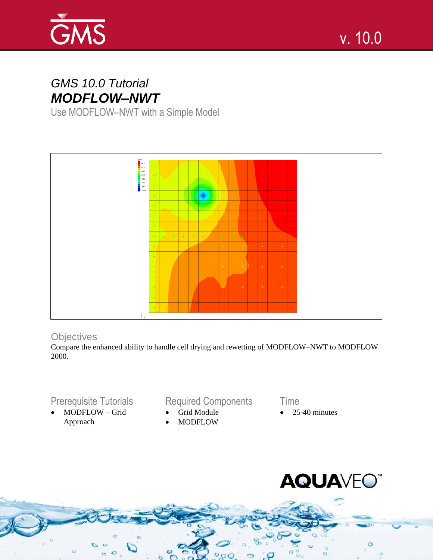

# *GMS 10.0 Tutorial MODFLOW–NWT*

Use MODFLOW–NWT with a Simple Model



# **Objectives**

Compare the enhanced ability to handle cell drying and rewetting of MODFLOW–NWT to MODFLOW 2000.

# Prerequisite Tutorials

 MODFLOW – Grid Approach

# Required Components

- Grid Module
- MODFLOW

Time

Page 1 of 13 © Aquaveo 2015

25-40 minutes

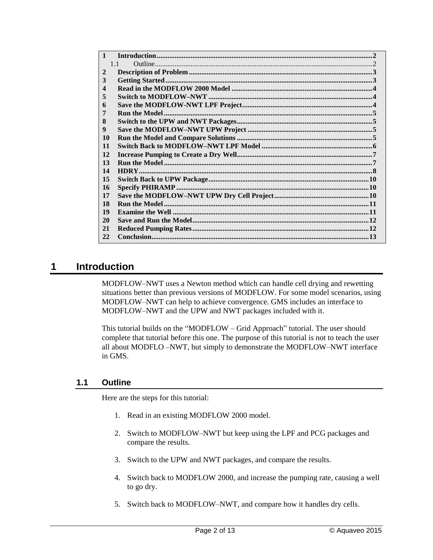| $\mathbf{1}$ |    |
|--------------|----|
|              | 11 |
| $\mathbf{2}$ |    |
| 3            |    |
| 4            |    |
| 5            |    |
| 6            |    |
| 7            |    |
| 8            |    |
| 9            |    |
| <b>10</b>    |    |
| 11           |    |
| 12           |    |
| 13           |    |
| 14           |    |
| 15           |    |
| 16           |    |
| 17           |    |
| 18           |    |
| 19           |    |
| 20           |    |
| 21           |    |
| 22           |    |

# <span id="page-1-0"></span>**1 Introduction**

MODFLOW–NWT uses a Newton method which can handle cell drying and rewetting situations better than previous versions of MODFLOW. For some model scenarios, using MODFLOW–NWT can help to achieve convergence. GMS includes an interface to MODFLOW–NWT and the UPW and NWT packages included with it.

This tutorial builds on the "MODFLOW – Grid Approach" tutorial. The user should complete that tutorial before this one. The purpose of this tutorial is not to teach the user all about MODFLO –NWT, but simply to demonstrate the MODFLOW–NWT interface in GMS.

#### <span id="page-1-1"></span>**1.1 Outline**

Here are the steps for this tutorial:

- 1. Read in an existing MODFLOW 2000 model.
- 2. Switch to MODFLOW–NWT but keep using the LPF and PCG packages and compare the results.
- 3. Switch to the UPW and NWT packages, and compare the results.
- 4. Switch back to MODFLOW 2000, and increase the pumping rate, causing a well to go dry.
- 5. Switch back to MODFLOW–NWT, and compare how it handles dry cells.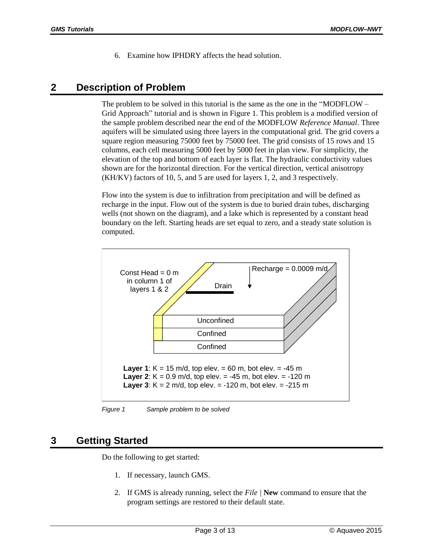6. Examine how IPHDRY affects the head solution.

# <span id="page-2-0"></span>**2 Description of Problem**

The problem to be solved in this tutorial is the same as the one in the "MODFLOW – Grid Approach" tutorial and is shown in Figure 1. This problem is a modified version of the sample problem described near the end of the MODFLOW *Reference Manual*. Three aquifers will be simulated using three layers in the computational grid. The grid covers a square region measuring 75000 feet by 75000 feet. The grid consists of 15 rows and 15 columns, each cell measuring 5000 feet by 5000 feet in plan view. For simplicity, the elevation of the top and bottom of each layer is flat. The hydraulic conductivity values shown are for the horizontal direction. For the vertical direction, vertical anisotropy (KH/KV) factors of 10, 5, and 5 are used for layers 1, 2, and 3 respectively.

Flow into the system is due to infiltration from precipitation and will be defined as recharge in the input. Flow out of the system is due to buried drain tubes, discharging wells (not shown on the diagram), and a lake which is represented by a constant head boundary on the left. Starting heads are set equal to zero, and a steady state solution is computed.



*Figure 1 Sample problem to be solved*

# <span id="page-2-1"></span>**3 Getting Started**

Do the following to get started:

- 1. If necessary, launch GMS.
- 2. If GMS is already running, select the *File |* **New** command to ensure that the program settings are restored to their default state.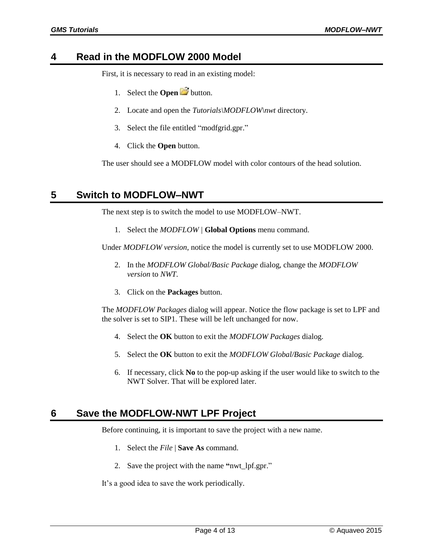## <span id="page-3-0"></span>**4 Read in the MODFLOW 2000 Model**

First, it is necessary to read in an existing model:

- 1. Select the **Open** button.
- 2. Locate and open the *Tutorials\MODFLOW\nwt* directory.
- 3. Select the file entitled "modfgrid.gpr."
- 4. Click the **Open** button.

The user should see a MODFLOW model with color contours of the head solution.

### <span id="page-3-1"></span>**5 Switch to MODFLOW–NWT**

The next step is to switch the model to use MODFLOW–NWT.

1. Select the *MODFLOW |* **Global Options** menu command.

Under *MODFLOW version*, notice the model is currently set to use MODFLOW 2000.

- 2. In the *MODFLOW Global/Basic Package* dialog, change the *MODFLOW version* to *NWT*.
- 3. Click on the **Packages** button.

The *MODFLOW Packages* dialog will appear. Notice the flow package is set to LPF and the solver is set to SIP1. These will be left unchanged for now.

- 4. Select the **OK** button to exit the *MODFLOW Packages* dialog.
- 5. Select the **OK** button to exit the *MODFLOW Global/Basic Package* dialog.
- 6. If necessary, click **No** to the pop-up asking if the user would like to switch to the NWT Solver. That will be explored later.

### <span id="page-3-2"></span>**6 Save the MODFLOW-NWT LPF Project**

Before continuing, it is important to save the project with a new name.

- 1. Select the *File* | **Save As** command.
- 2. Save the project with the name **"**nwt\_lpf.gpr."

It's a good idea to save the work periodically.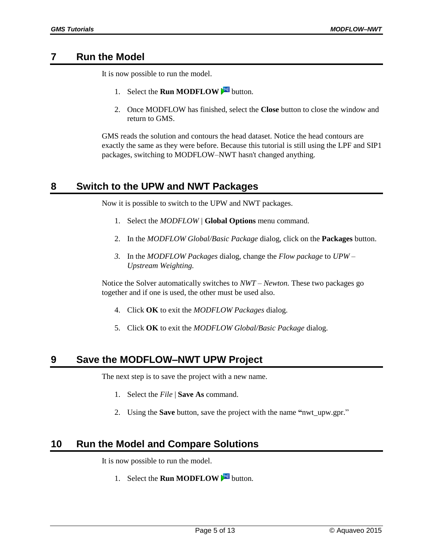# <span id="page-4-0"></span>**7 Run the Model**

It is now possible to run the model.

- 1. Select the **Run MODFLOW** button.
- 2. Once MODFLOW has finished, select the **Close** button to close the window and return to GMS.

GMS reads the solution and contours the head dataset. Notice the head contours are exactly the same as they were before. Because this tutorial is still using the LPF and SIP1 packages, switching to MODFLOW–NWT hasn't changed anything.

# <span id="page-4-1"></span>**8 Switch to the UPW and NWT Packages**

Now it is possible to switch to the UPW and NWT packages.

- 1. Select the *MODFLOW |* **Global Options** menu command.
- 2. In the *MODFLOW Global/Basic Package* dialog, click on the **Packages** button.
- *3.* In the *MODFLOW Packages* dialog, change the *Flow package* to *UPW Upstream Weighting.*

Notice the Solver automatically switches to *NWT – Newton.* These two packages go together and if one is used, the other must be used also.

- 4. Click **OK** to exit the *MODFLOW Packages* dialog.
- 5. Click **OK** to exit the *MODFLOW Global/Basic Package* dialog.

# <span id="page-4-2"></span>**9 Save the MODFLOW–NWT UPW Project**

The next step is to save the project with a new name.

- 1. Select the *File* | **Save As** command.
- 2. Using the **Save** button, save the project with the name **"**nwt\_upw.gpr."

# <span id="page-4-3"></span>**10 Run the Model and Compare Solutions**

It is now possible to run the model.

1. Select the **Run MODFLOW Multion.**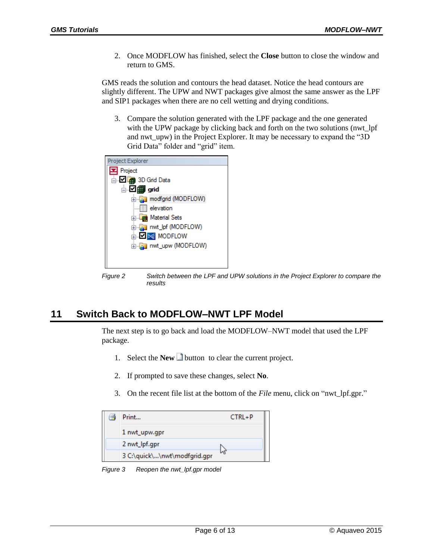2. Once MODFLOW has finished, select the **Close** button to close the window and return to GMS.

GMS reads the solution and contours the head dataset. Notice the head contours are slightly different. The UPW and NWT packages give almost the same answer as the LPF and SIP1 packages when there are no cell wetting and drying conditions.

3. Compare the solution generated with the LPF package and the one generated with the UPW package by clicking back and forth on the two solutions (nwt\_lpf and nwt\_upw) in the Project Explorer. It may be necessary to expand the "3D Grid Data" folder and "grid" item.



*Figure 2 Switch between the LPF and UPW solutions in the Project Explorer to compare the results*

# <span id="page-5-0"></span>**11 Switch Back to MODFLOW–NWT LPF Model**

The next step is to go back and load the MODFLOW–NWT model that used the LPF package.

- 1. Select the **New b**utton to clear the current project.
- 2. If prompted to save these changes, select **No**.
- 3. On the recent file list at the bottom of the *File* menu, click on "nwt\_lpf.gpr."

| $\triangleq$ | Print                        | CTRL+P |
|--------------|------------------------------|--------|
|              | 1 nwt_upw.gpr                |        |
|              | 2 nwt_lpf.gpr                |        |
|              | 3 C:\quick\\nwt\modfgrid.gpr |        |

*Figure 3 Reopen the nwt\_lpf.gpr model*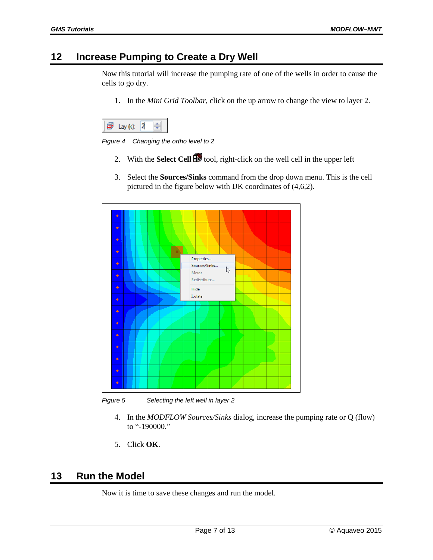## <span id="page-6-0"></span>**12 Increase Pumping to Create a Dry Well**

Now this tutorial will increase the pumping rate of one of the wells in order to cause the cells to go dry.

1. In the *Mini Grid Toolbar*, click on the up arrow to change the view to layer 2.



*Figure 4 Changing the ortho level to 2*

- 2. With the **Select Cell** tool, right-click on the well cell in the upper left
- 3. Select the **Sources/Sinks** command from the drop down menu. This is the cell pictured in the figure below with IJK coordinates of (4,6,2).



*Figure 5 Selecting the left well in layer 2*

- 4. In the *MODFLOW Sources/Sinks* dialog, increase the pumping rate or Q (flow) to "-190000."
- 5. Click **OK**.

## <span id="page-6-1"></span>**13 Run the Model**

Now it is time to save these changes and run the model.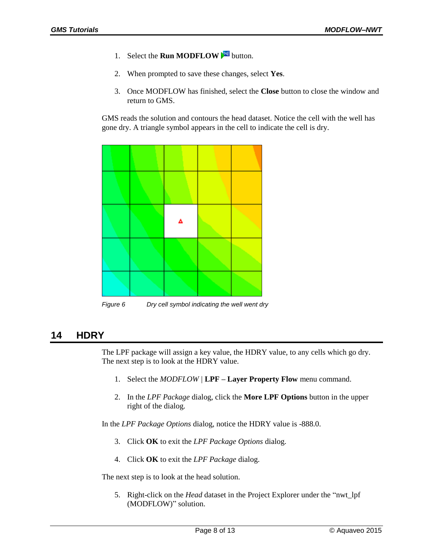- 1. Select the **Run MODFLOW** is button.
- 2. When prompted to save these changes, select **Yes**.
- 3. Once MODFLOW has finished, select the **Close** button to close the window and return to GMS.

GMS reads the solution and contours the head dataset. Notice the cell with the well has gone dry. A triangle symbol appears in the cell to indicate the cell is dry.



*Figure 6 Dry cell symbol indicating the well went dry*

# <span id="page-7-0"></span>**14 HDRY**

The LPF package will assign a key value, the HDRY value, to any cells which go dry. The next step is to look at the HDRY value.

- 1. Select the *MODFLOW |* **LPF – Layer Property Flow** menu command.
- 2. In the *LPF Package* dialog, click the **More LPF Options** button in the upper right of the dialog.

In the *LPF Package Options* dialog, notice the HDRY value is -888.0.

- 3. Click **OK** to exit the *LPF Package Options* dialog.
- 4. Click **OK** to exit the *LPF Package* dialog.

The next step is to look at the head solution.

5. Right-click on the *Head* dataset in the Project Explorer under the "nwt\_lpf (MODFLOW)" solution.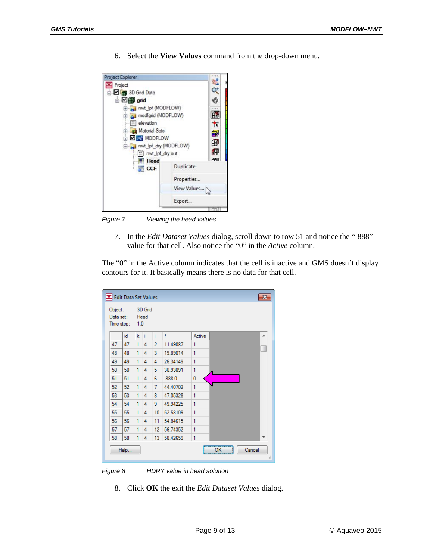Project Explorer Ľ Project  $\alpha$ □ 2 3D Grid Data 唔 **Digit** grid a mwt\_lpf (MODFLOW) 的 modfgrid (MODFLOW) elevation  $\frac{1}{\sqrt{2}}$ Material Sets 5 **B**<del></del> 围 Fi-Ga nwt\_lpf\_dry (MODFLOW) Ø mwt\_lpf\_dry.out 倆 **Head** Duplicate **DE** CCF Properties... View Values... Export...

*Figure 7 Viewing the head values*

7. In the *Edit Dataset Values* dialog, scroll down to row 51 and notice the "-888" value for that cell. Also notice the "0" in the *Active* column.

6. Select the **View Values** command from the drop-down menu.

The "0" in the Active column indicates that the cell is inactive and GMS doesn't display contours for it. It basically means there is no data for that cell.

| Object:   |            |     | 3D Grid |                |          |        |              |
|-----------|------------|-----|---------|----------------|----------|--------|--------------|
| Data set: | Time step: | 1.0 | Head    |                |          |        |              |
|           | id         | k   | Ť       | i              | f        | Active | ▲            |
| 47        | 47         | 1   | 4       | $\overline{a}$ | 11.49087 | 1      |              |
| 48        | 48         | 1   | 4       | 3              | 19.89014 | 1      |              |
| 49        | 49         | 1   | 4       | 4              | 26.34149 | 1      |              |
| 50        | 50         | 1   | 4       | 5              | 30.93091 | 1      |              |
| 51        | 51         | 1   | 4       | 6              | $-888.0$ | 0      |              |
| 52        | 52         | 1   | 4       | 7              | 44.40702 | 1      |              |
| 53        | 53         | 1   | 4       | 8              | 47.05328 | 1      |              |
| 54        | 54         | 1   | 4       | 9              | 49.94225 | 1      |              |
| 55        | 55         | 1   | 4       | 10             | 52.58109 | 1      |              |
| 56        | 56         | 1   | 4       | 11             | 54.84615 | 1      |              |
| 57        | 57         | 1   | 4       | 12             | 56.74352 | 1      |              |
| 58        | 58         | 1   | 4       | 13             | 58.42659 | 1      |              |
|           | Help       |     |         |                |          |        | Cancel<br>ок |

*Figure 8 HDRY value in head solution*

8. Click **OK** the exit the *Edit Dataset Values* dialog.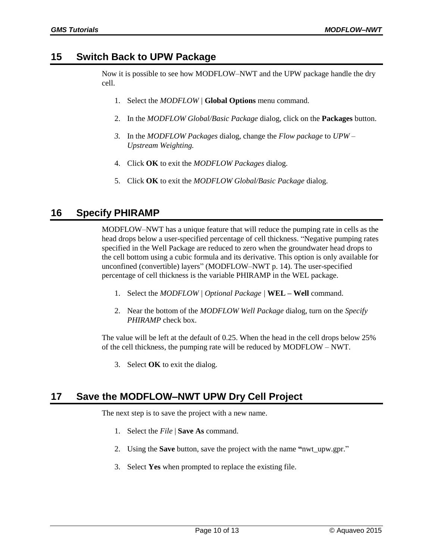# <span id="page-9-0"></span>**15 Switch Back to UPW Package**

Now it is possible to see how MODFLOW–NWT and the UPW package handle the dry cell.

- 1. Select the *MODFLOW |* **Global Options** menu command.
- 2. In the *MODFLOW Global/Basic Package* dialog, click on the **Packages** button.
- *3.* In the *MODFLOW Packages* dialog, change the *Flow package* to *UPW – Upstream Weighting.*
- 4. Click **OK** to exit the *MODFLOW Packages* dialog.
- 5. Click **OK** to exit the *MODFLOW Global/Basic Package* dialog.

# <span id="page-9-1"></span>**16 Specify PHIRAMP**

MODFLOW–NWT has a unique feature that will reduce the pumping rate in cells as the head drops below a user-specified percentage of cell thickness. "Negative pumping rates specified in the Well Package are reduced to zero when the groundwater head drops to the cell bottom using a cubic formula and its derivative. This option is only available for unconfined (convertible) layers" (MODFLOW–NWT p. 14). The user-specified percentage of cell thickness is the variable PHIRAMP in the WEL package.

- 1. Select the *MODFLOW | Optional Package |* **WEL – Well** command.
- 2. Near the bottom of the *MODFLOW Well Package* dialog, turn on the *Specify PHIRAMP* check box.

The value will be left at the default of 0.25. When the head in the cell drops below 25% of the cell thickness, the pumping rate will be reduced by MODFLOW – NWT.

3. Select **OK** to exit the dialog.

# <span id="page-9-2"></span>**17 Save the MODFLOW–NWT UPW Dry Cell Project**

The next step is to save the project with a new name.

- 1. Select the *File* | **Save As** command.
- 2. Using the **Save** button, save the project with the name **"**nwt\_upw.gpr."
- 3. Select **Yes** when prompted to replace the existing file.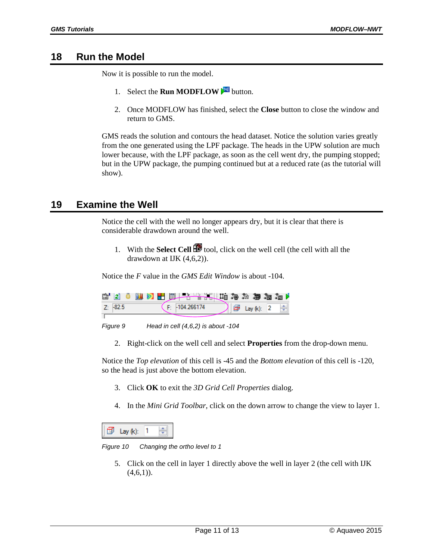#### <span id="page-10-0"></span>**18 Run the Model**

Now it is possible to run the model.

- 1. Select the **Run MODFLOW** button.
- 2. Once MODFLOW has finished, select the **Close** button to close the window and return to GMS.

GMS reads the solution and contours the head dataset. Notice the solution varies greatly from the one generated using the LPF package. The heads in the UPW solution are much lower because, with the LPF package, as soon as the cell went dry, the pumping stopped; but in the UPW package, the pumping continued but at a reduced rate (as the tutorial will show).

## <span id="page-10-1"></span>**19 Examine the Well**

Notice the cell with the well no longer appears dry, but it is clear that there is considerable drawdown around the well.

1. With the **Select Cell tool**, click on the well cell (the cell with all the drawdown at IJK (4,6,2)).

Notice the *F* value in the *GMS Edit Window* is about -104.

| rt. | -121           |  | $\mathbf{u} \otimes$ | <b>A R R &amp; &amp; A B &amp; L + H + H &amp; H &amp; A</b> |  |  |               |  |  |
|-----|----------------|--|----------------------|--------------------------------------------------------------|--|--|---------------|--|--|
|     | $7 \cdot 82.5$ |  |                      | $-104.266174$                                                |  |  | Lay $(k)$ : 2 |  |  |
|     |                |  |                      |                                                              |  |  |               |  |  |
|     | Figure 9       |  |                      | Head in cell $(4,6,2)$ is about -104                         |  |  |               |  |  |

2. Right-click on the well cell and select **Properties** from the drop-down menu.

Notice the *Top elevation* of this cell is -45 and the *Bottom elevation* of this cell is -120, so the head is just above the bottom elevation.

- 3. Click **OK** to exit the *3D Grid Cell Properties* dialog.
- 4. In the *Mini Grid Toolbar*, click on the down arrow to change the view to layer 1.

| l av och |  |
|----------|--|
|          |  |

*Figure 10 Changing the ortho level to 1*

5. Click on the cell in layer 1 directly above the well in layer 2 (the cell with IJK  $(4,6,1)$ ).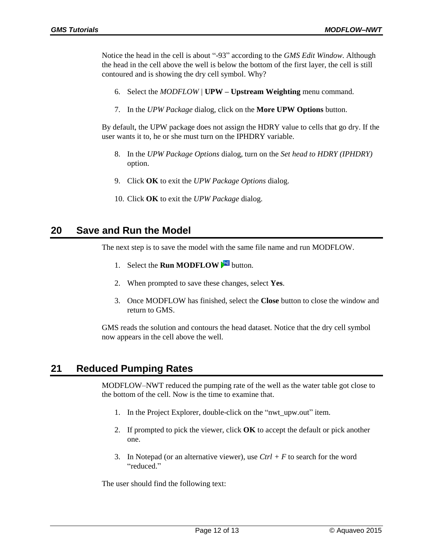Notice the head in the cell is about "-93" according to the *GMS Edit Window*. Although the head in the cell above the well is below the bottom of the first layer, the cell is still contoured and is showing the dry cell symbol. Why?

- 6. Select the *MODFLOW |* **UPW – Upstream Weighting** menu command.
- 7. In the *UPW Package* dialog, click on the **More UPW Options** button.

By default, the UPW package does not assign the HDRY value to cells that go dry. If the user wants it to, he or she must turn on the IPHDRY variable.

- 8. In the *UPW Package Options* dialog, turn on the *Set head to HDRY (IPHDRY)* option.
- 9. Click **OK** to exit the *UPW Package Options* dialog.
- 10. Click **OK** to exit the *UPW Package* dialog.

## <span id="page-11-0"></span>**20 Save and Run the Model**

The next step is to save the model with the same file name and run MODFLOW.

- 1. Select the **Run MODFLOW button.**
- 2. When prompted to save these changes, select **Yes**.
- 3. Once MODFLOW has finished, select the **Close** button to close the window and return to GMS.

GMS reads the solution and contours the head dataset. Notice that the dry cell symbol now appears in the cell above the well.

# <span id="page-11-1"></span>**21 Reduced Pumping Rates**

MODFLOW–NWT reduced the pumping rate of the well as the water table got close to the bottom of the cell. Now is the time to examine that.

- 1. In the Project Explorer, double-click on the "nwt\_upw.out" item.
- 2. If prompted to pick the viewer, click **OK** to accept the default or pick another one.
- 3. In Notepad (or an alternative viewer), use *Ctrl + F* to search for the word "reduced."

The user should find the following text: